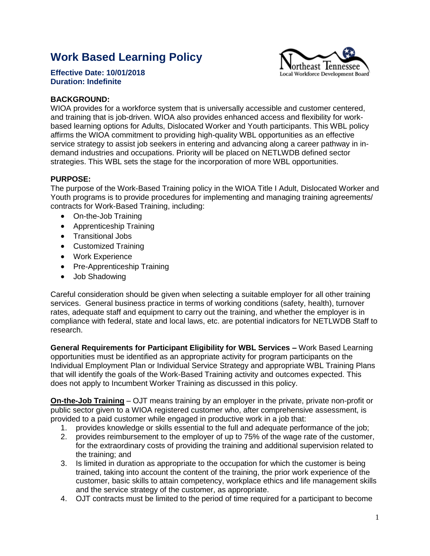## **Work Based Learning Policy**



**Effective Date: 10/01/2018 Duration: Indefinite** 

## **BACKGROUND:**

WIOA provides for a workforce system that is universally accessible and customer centered, and training that is job-driven. WIOA also provides enhanced access and flexibility for workbased learning options for Adults, Dislocated Worker and Youth participants. This WBL policy affirms the WIOA commitment to providing high-quality WBL opportunities as an effective service strategy to assist job seekers in entering and advancing along a career pathway in indemand industries and occupations. Priority will be placed on NETLWDB defined sector strategies. This WBL sets the stage for the incorporation of more WBL opportunities.

## **PURPOSE:**

The purpose of the Work-Based Training policy in the WIOA Title I Adult, Dislocated Worker and Youth programs is to provide procedures for implementing and managing training agreements/ contracts for Work-Based Training, including:

- On-the-Job Training
- Apprenticeship Training
- Transitional Jobs
- Customized Training
- Work Experience
- Pre-Apprenticeship Training
- Job Shadowing

Careful consideration should be given when selecting a suitable employer for all other training services. General business practice in terms of working conditions (safety, health), turnover rates, adequate staff and equipment to carry out the training, and whether the employer is in compliance with federal, state and local laws, etc. are potential indicators for NETLWDB Staff to research.

**General Requirements for Participant Eligibility for WBL Services –** Work Based Learning opportunities must be identified as an appropriate activity for program participants on the Individual Employment Plan or Individual Service Strategy and appropriate WBL Training Plans that will identify the goals of the Work-Based Training activity and outcomes expected. This does not apply to Incumbent Worker Training as discussed in this policy.

**On-the-Job Training** – OJT means training by an employer in the private, private non-profit or public sector given to a WIOA registered customer who, after comprehensive assessment, is provided to a paid customer while engaged in productive work in a job that:

- 1. provides knowledge or skills essential to the full and adequate performance of the job;
- 2. provides reimbursement to the employer of up to 75% of the wage rate of the customer, for the extraordinary costs of providing the training and additional supervision related to the training; and
- 3. Is limited in duration as appropriate to the occupation for which the customer is being trained, taking into account the content of the training, the prior work experience of the customer, basic skills to attain competency, workplace ethics and life management skills and the service strategy of the customer, as appropriate.
- 4. OJT contracts must be limited to the period of time required for a participant to become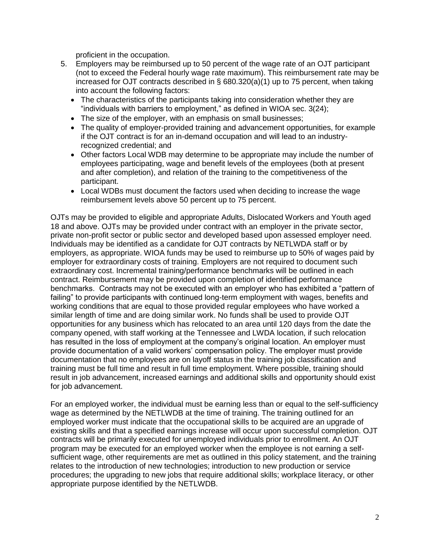proficient in the occupation.

- 5. Employers may be reimbursed up to 50 percent of the wage rate of an OJT participant (not to exceed the Federal hourly wage rate maximum). This reimbursement rate may be increased for OJT [contracts](https://www.law.cornell.edu/definitions/index.php?width=840&height=800&iframe=true&def_id=77b4eb8b15df766568784291d74c9882&term_occur=2&term_src=Title%3A20%3AChapter%3AV%3APart%3A680%3ASubpart%3AF%3A680.730) described in § 680.320(a)(1) up to 75 percent, when taking into account the following factors:
	- The characteristics of the [participants](https://www.law.cornell.edu/definitions/index.php?width=840&height=800&iframe=true&def_id=e5c194c12e0425fc7d053bfdb3aeef52&term_occur=1&term_src=Title%3A20%3AChapter%3AV%3APart%3A680%3ASubpart%3AF%3A680.730) taking into consideration whether they are "individuals with barriers to employment," as defined in [WIOA](https://www.law.cornell.edu/definitions/index.php?width=840&height=800&iframe=true&def_id=c65248b637fecb3bc87b5095b19b494d&term_occur=1&term_src=Title%3A20%3AChapter%3AV%3APart%3A680%3ASubpart%3AF%3A680.730) sec. 3(24);
	- The size of the [employer,](https://www.law.cornell.edu/definitions/index.php?width=840&height=800&iframe=true&def_id=f5fa1bd336151038ef33802286d066eb&term_occur=1&term_src=Title%3A20%3AChapter%3AV%3APart%3A680%3ASubpart%3AF%3A680.730) with an emphasis on small businesses;
	- The quality of [employer-](https://www.law.cornell.edu/definitions/index.php?width=840&height=800&iframe=true&def_id=f5fa1bd336151038ef33802286d066eb&term_occur=2&term_src=Title%3A20%3AChapter%3AV%3APart%3A680%3ASubpart%3AF%3A680.730)provided training and advancement opportunities, for example if the OJT [contract](https://www.law.cornell.edu/definitions/index.php?width=840&height=800&iframe=true&def_id=77b4eb8b15df766568784291d74c9882&term_occur=3&term_src=Title%3A20%3AChapter%3AV%3APart%3A680%3ASubpart%3AF%3A680.730) is for an in-demand occupation and will lead to an industryrecognized credential; and
	- Other factors [Local WDB](https://www.law.cornell.edu/definitions/index.php?width=840&height=800&iframe=true&def_id=6f668ef49abc1e8a3f0f1f93f7a15a8a&term_occur=2&term_src=Title%3A20%3AChapter%3AV%3APart%3A680%3ASubpart%3AF%3A680.730) may determine to be appropriate may include the number of employees participating, wage and benefit levels of the employees (both at present and after completion), and relation of the training to the competitiveness of the [participant.](https://www.law.cornell.edu/definitions/index.php?width=840&height=800&iframe=true&def_id=e5c194c12e0425fc7d053bfdb3aeef52&term_occur=2&term_src=Title%3A20%3AChapter%3AV%3APart%3A680%3ASubpart%3AF%3A680.730)
	- [Local WDBs](https://www.law.cornell.edu/definitions/index.php?width=840&height=800&iframe=true&def_id=6f668ef49abc1e8a3f0f1f93f7a15a8a&term_occur=3&term_src=Title%3A20%3AChapter%3AV%3APart%3A680%3ASubpart%3AF%3A680.730) must document the factors used when deciding to increase the wage reimbursement levels above 50 percent up to 75 percent.

OJTs may be provided to eligible and appropriate Adults, Dislocated Workers and Youth aged 18 and above. OJTs may be provided under contract with an employer in the private sector, private non-profit sector or public sector and developed based upon assessed employer need. Individuals may be identified as a candidate for OJT contracts by NETLWDA staff or by employers, as appropriate. WIOA funds may be used to reimburse up to 50% of wages paid by employer for extraordinary costs of training. Employers are not required to document such extraordinary cost. Incremental training/performance benchmarks will be outlined in each contract. Reimbursement may be provided upon completion of identified performance benchmarks. Contracts may not be executed with an employer who has exhibited a "pattern of failing" to provide participants with continued long-term employment with wages, benefits and working conditions that are equal to those provided regular employees who have worked a similar length of time and are doing similar work. No funds shall be used to provide OJT opportunities for any business which has relocated to an area until 120 days from the date the company opened, with staff working at the Tennessee and LWDA location, if such relocation has resulted in the loss of employment at the company's original location. An employer must provide documentation of a valid workers' compensation policy. The employer must provide documentation that no employees are on layoff status in the training job classification and training must be full time and result in full time employment. Where possible, training should result in job advancement, increased earnings and additional skills and opportunity should exist for job advancement.

For an employed worker, the individual must be earning less than or equal to the self-sufficiency wage as determined by the NETLWDB at the time of training. The training outlined for an employed worker must indicate that the occupational skills to be acquired are an upgrade of existing skills and that a specified earnings increase will occur upon successful completion. OJT contracts will be primarily executed for unemployed individuals prior to enrollment. An OJT program may be executed for an employed worker when the employee is not earning a selfsufficient wage, other requirements are met as outlined in this policy statement, and the training relates to the introduction of new technologies; introduction to new production or service procedures; the upgrading to new jobs that require additional skills; workplace literacy, or other appropriate purpose identified by the NETLWDB.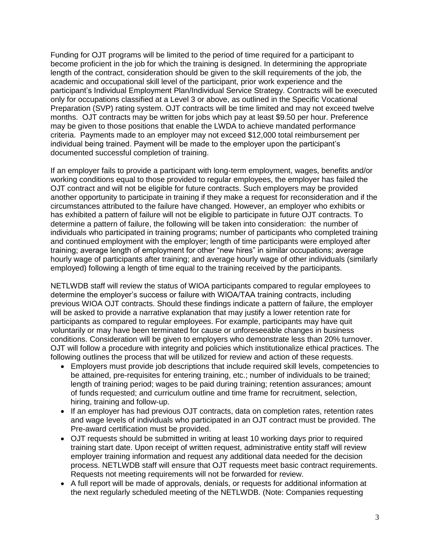Funding for OJT programs will be limited to the period of time required for a participant to become proficient in the job for which the training is designed. In determining the appropriate length of the contract, consideration should be given to the skill requirements of the job, the academic and occupational skill level of the participant, prior work experience and the participant's Individual Employment Plan/Individual Service Strategy. Contracts will be executed only for occupations classified at a Level 3 or above, as outlined in the Specific Vocational Preparation (SVP) rating system. OJT contracts will be time limited and may not exceed twelve months. OJT contracts may be written for jobs which pay at least \$9.50 per hour. Preference may be given to those positions that enable the LWDA to achieve mandated performance criteria. Payments made to an employer may not exceed \$12,000 total reimbursement per individual being trained. Payment will be made to the employer upon the participant's documented successful completion of training.

If an employer fails to provide a participant with long-term employment, wages, benefits and/or working conditions equal to those provided to regular employees, the employer has failed the OJT contract and will not be eligible for future contracts. Such employers may be provided another opportunity to participate in training if they make a request for reconsideration and if the circumstances attributed to the failure have changed. However, an employer who exhibits or has exhibited a pattern of failure will not be eligible to participate in future OJT contracts. To determine a pattern of failure, the following will be taken into consideration: the number of individuals who participated in training programs; number of participants who completed training and continued employment with the employer; length of time participants were employed after training; average length of employment for other "new hires" in similar occupations; average hourly wage of participants after training; and average hourly wage of other individuals (similarly employed) following a length of time equal to the training received by the participants.

NETLWDB staff will review the status of WIOA participants compared to regular employees to determine the employer's success or failure with WIOA/TAA training contracts, including previous WIOA OJT contracts. Should these findings indicate a pattern of failure, the employer will be asked to provide a narrative explanation that may justify a lower retention rate for participants as compared to regular employees. For example, participants may have quit voluntarily or may have been terminated for cause or unforeseeable changes in business conditions. Consideration will be given to employers who demonstrate less than 20% turnover. OJT will follow a procedure with integrity and policies which institutionalize ethical practices. The following outlines the process that will be utilized for review and action of these requests.

- Employers must provide job descriptions that include required skill levels, competencies to be attained, pre-requisites for entering training, etc.; number of individuals to be trained; length of training period; wages to be paid during training; retention assurances; amount of funds requested; and curriculum outline and time frame for recruitment, selection, hiring, training and follow-up.
- If an employer has had previous OJT contracts, data on completion rates, retention rates and wage levels of individuals who participated in an OJT contract must be provided. The Pre-award certification must be provided.
- OJT requests should be submitted in writing at least 10 working days prior to required training start date. Upon receipt of written request, administrative entity staff will review employer training information and request any additional data needed for the decision process. NETLWDB staff will ensure that OJT requests meet basic contract requirements. Requests not meeting requirements will not be forwarded for review.
- A full report will be made of approvals, denials, or requests for additional information at the next regularly scheduled meeting of the NETLWDB. (Note: Companies requesting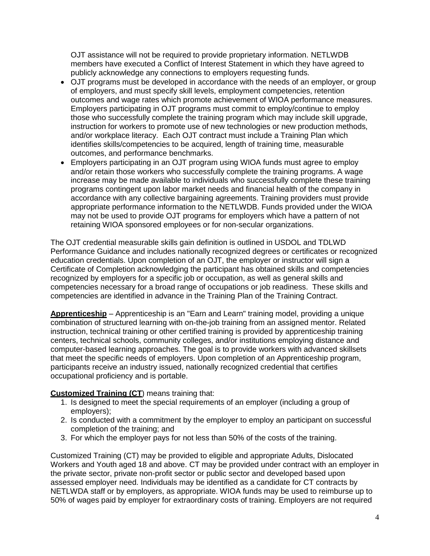OJT assistance will not be required to provide proprietary information. NETLWDB members have executed a Conflict of Interest Statement in which they have agreed to publicly acknowledge any connections to employers requesting funds.

- OJT programs must be developed in accordance with the needs of an employer, or group of employers, and must specify skill levels, employment competencies, retention outcomes and wage rates which promote achievement of WIOA performance measures. Employers participating in OJT programs must commit to employ/continue to employ those who successfully complete the training program which may include skill upgrade, instruction for workers to promote use of new technologies or new production methods, and/or workplace literacy. Each OJT contract must include a Training Plan which identifies skills/competencies to be acquired, length of training time, measurable outcomes, and performance benchmarks.
- Employers participating in an OJT program using WIOA funds must agree to employ and/or retain those workers who successfully complete the training programs. A wage increase may be made available to individuals who successfully complete these training programs contingent upon labor market needs and financial health of the company in accordance with any collective bargaining agreements. Training providers must provide appropriate performance information to the NETLWDB. Funds provided under the WIOA may not be used to provide OJT programs for employers which have a pattern of not retaining WIOA sponsored employees or for non-secular organizations.

The OJT credential measurable skills gain definition is outlined in USDOL and TDLWD Performance Guidance and includes nationally recognized degrees or certificates or recognized education credentials. Upon completion of an OJT, the employer or instructor will sign a Certificate of Completion acknowledging the participant has obtained skills and competencies recognized by employers for a specific job or occupation, as well as general skills and competencies necessary for a broad range of occupations or job readiness. These skills and competencies are identified in advance in the Training Plan of the Training Contract.

**Apprenticeship** – Apprenticeship is an "Earn and Learn" training model, providing a unique combination of structured learning with on-the-job training from an assigned mentor. Related instruction, technical training or other certified training is provided by apprenticeship training centers, technical schools, community colleges, and/or institutions employing distance and computer-based learning approaches. The goal is to provide workers with advanced skillsets that meet the specific needs of employers. Upon completion of an Apprenticeship program, participants receive an industry issued, nationally recognized credential that certifies occupational proficiency and is portable.

## **Customized Training (CT)** means training that:

- 1. Is designed to meet the special requirements of an employer (including a group of employers);
- 2. Is conducted with a commitment by the employer to employ an participant on successful completion of the training; and
- 3. For which the employer pays for not less than 50% of the costs of the training.

Customized Training (CT) may be provided to eligible and appropriate Adults, Dislocated Workers and Youth aged 18 and above. CT may be provided under contract with an employer in the private sector, private non-profit sector or public sector and developed based upon assessed employer need. Individuals may be identified as a candidate for CT contracts by NETLWDA staff or by employers, as appropriate. WIOA funds may be used to reimburse up to 50% of wages paid by employer for extraordinary costs of training. Employers are not required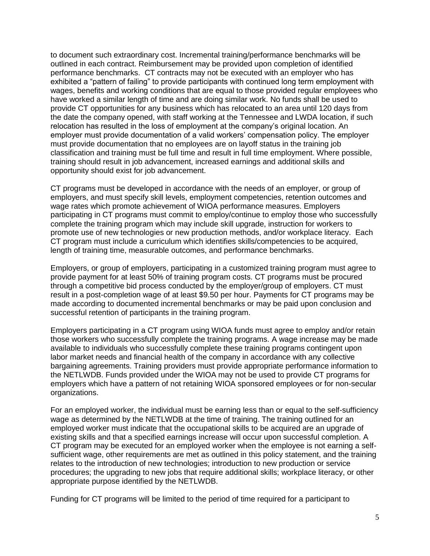to document such extraordinary cost. Incremental training/performance benchmarks will be outlined in each contract. Reimbursement may be provided upon completion of identified performance benchmarks. CT contracts may not be executed with an employer who has exhibited a "pattern of failing" to provide participants with continued long term employment with wages, benefits and working conditions that are equal to those provided regular employees who have worked a similar length of time and are doing similar work. No funds shall be used to provide CT opportunities for any business which has relocated to an area until 120 days from the date the company opened, with staff working at the Tennessee and LWDA location, if such relocation has resulted in the loss of employment at the company's original location. An employer must provide documentation of a valid workers' compensation policy. The employer must provide documentation that no employees are on layoff status in the training job classification and training must be full time and result in full time employment. Where possible, training should result in job advancement, increased earnings and additional skills and opportunity should exist for job advancement.

CT programs must be developed in accordance with the needs of an employer, or group of employers, and must specify skill levels, employment competencies, retention outcomes and wage rates which promote achievement of WIOA performance measures. Employers participating in CT programs must commit to employ/continue to employ those who successfully complete the training program which may include skill upgrade, instruction for workers to promote use of new technologies or new production methods, and/or workplace literacy. Each CT program must include a curriculum which identifies skills/competencies to be acquired, length of training time, measurable outcomes, and performance benchmarks.

Employers, or group of employers, participating in a customized training program must agree to provide payment for at least 50% of training program costs. CT programs must be procured through a competitive bid process conducted by the employer/group of employers. CT must result in a post-completion wage of at least \$9.50 per hour. Payments for CT programs may be made according to documented incremental benchmarks or may be paid upon conclusion and successful retention of participants in the training program.

Employers participating in a CT program using WIOA funds must agree to employ and/or retain those workers who successfully complete the training programs. A wage increase may be made available to individuals who successfully complete these training programs contingent upon labor market needs and financial health of the company in accordance with any collective bargaining agreements. Training providers must provide appropriate performance information to the NETLWDB. Funds provided under the WIOA may not be used to provide CT programs for employers which have a pattern of not retaining WIOA sponsored employees or for non-secular organizations.

For an employed worker, the individual must be earning less than or equal to the self-sufficiency wage as determined by the NETLWDB at the time of training. The training outlined for an employed worker must indicate that the occupational skills to be acquired are an upgrade of existing skills and that a specified earnings increase will occur upon successful completion. A CT program may be executed for an employed worker when the employee is not earning a selfsufficient wage, other requirements are met as outlined in this policy statement, and the training relates to the introduction of new technologies; introduction to new production or service procedures; the upgrading to new jobs that require additional skills; workplace literacy, or other appropriate purpose identified by the NETLWDB.

Funding for CT programs will be limited to the period of time required for a participant to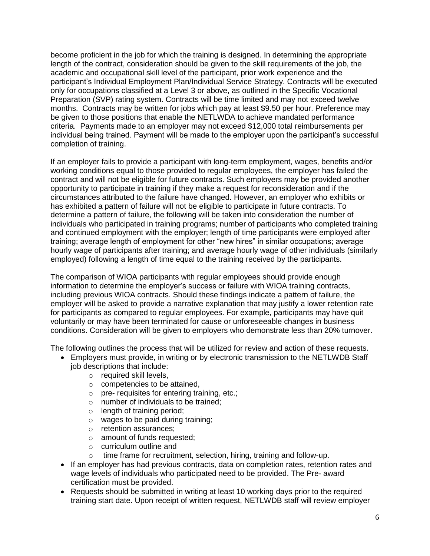become proficient in the job for which the training is designed. In determining the appropriate length of the contract, consideration should be given to the skill requirements of the job, the academic and occupational skill level of the participant, prior work experience and the participant's Individual Employment Plan/Individual Service Strategy. Contracts will be executed only for occupations classified at a Level 3 or above, as outlined in the Specific Vocational Preparation (SVP) rating system. Contracts will be time limited and may not exceed twelve months. Contracts may be written for jobs which pay at least \$9.50 per hour. Preference may be given to those positions that enable the NETLWDA to achieve mandated performance criteria. Payments made to an employer may not exceed \$12,000 total reimbursements per individual being trained. Payment will be made to the employer upon the participant's successful completion of training.

If an employer fails to provide a participant with long-term employment, wages, benefits and/or working conditions equal to those provided to regular employees, the employer has failed the contract and will not be eligible for future contracts. Such employers may be provided another opportunity to participate in training if they make a request for reconsideration and if the circumstances attributed to the failure have changed. However, an employer who exhibits or has exhibited a pattern of failure will not be eligible to participate in future contracts. To determine a pattern of failure, the following will be taken into consideration the number of individuals who participated in training programs; number of participants who completed training and continued employment with the employer; length of time participants were employed after training; average length of employment for other "new hires" in similar occupations; average hourly wage of participants after training; and average hourly wage of other individuals (similarly employed) following a length of time equal to the training received by the participants.

The comparison of WIOA participants with regular employees should provide enough information to determine the employer's success or failure with WIOA training contracts, including previous WIOA contracts. Should these findings indicate a pattern of failure, the employer will be asked to provide a narrative explanation that may justify a lower retention rate for participants as compared to regular employees. For example, participants may have quit voluntarily or may have been terminated for cause or unforeseeable changes in business conditions. Consideration will be given to employers who demonstrate less than 20% turnover.

The following outlines the process that will be utilized for review and action of these requests.

- Employers must provide, in writing or by electronic transmission to the NETLWDB Staff job descriptions that include:
	- o required skill levels,
	- o competencies to be attained,
	- o pre- requisites for entering training, etc.;
	- o number of individuals to be trained;
	- o length of training period;
	- o wages to be paid during training;
	- o retention assurances;
	- o amount of funds requested;
	- o curriculum outline and
	- o time frame for recruitment, selection, hiring, training and follow-up.
- If an employer has had previous contracts, data on completion rates, retention rates and wage levels of individuals who participated need to be provided. The Pre- award certification must be provided.
- Requests should be submitted in writing at least 10 working days prior to the required training start date. Upon receipt of written request, NETLWDB staff will review employer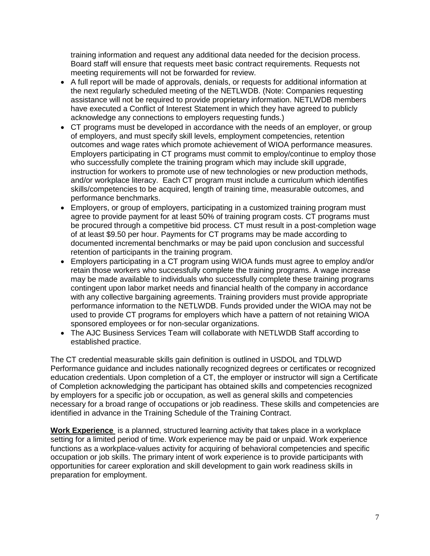training information and request any additional data needed for the decision process. Board staff will ensure that requests meet basic contract requirements. Requests not meeting requirements will not be forwarded for review.

- A full report will be made of approvals, denials, or requests for additional information at the next regularly scheduled meeting of the NETLWDB. (Note: Companies requesting assistance will not be required to provide proprietary information. NETLWDB members have executed a Conflict of Interest Statement in which they have agreed to publicly acknowledge any connections to employers requesting funds.)
- CT programs must be developed in accordance with the needs of an employer, or group of employers, and must specify skill levels, employment competencies, retention outcomes and wage rates which promote achievement of WIOA performance measures. Employers participating in CT programs must commit to employ/continue to employ those who successfully complete the training program which may include skill upgrade, instruction for workers to promote use of new technologies or new production methods, and/or workplace literacy. Each CT program must include a curriculum which identifies skills/competencies to be acquired, length of training time, measurable outcomes, and performance benchmarks.
- Employers, or group of employers, participating in a customized training program must agree to provide payment for at least 50% of training program costs. CT programs must be procured through a competitive bid process. CT must result in a post-completion wage of at least \$9.50 per hour. Payments for CT programs may be made according to documented incremental benchmarks or may be paid upon conclusion and successful retention of participants in the training program.
- Employers participating in a CT program using WIOA funds must agree to employ and/or retain those workers who successfully complete the training programs. A wage increase may be made available to individuals who successfully complete these training programs contingent upon labor market needs and financial health of the company in accordance with any collective bargaining agreements. Training providers must provide appropriate performance information to the NETLWDB. Funds provided under the WIOA may not be used to provide CT programs for employers which have a pattern of not retaining WIOA sponsored employees or for non-secular organizations.
- The AJC Business Services Team will collaborate with NETLWDB Staff according to established practice.

The CT credential measurable skills gain definition is outlined in USDOL and TDLWD Performance guidance and includes nationally recognized degrees or certificates or recognized education credentials. Upon completion of a CT, the employer or instructor will sign a Certificate of Completion acknowledging the participant has obtained skills and competencies recognized by employers for a specific job or occupation, as well as general skills and competencies necessary for a broad range of occupations or job readiness. These skills and competencies are identified in advance in the Training Schedule of the Training Contract.

**Work Experience** is a planned, structured learning activity that takes place in a workplace setting for a limited period of time. Work experience may be paid or unpaid. Work experience functions as a workplace-values activity for acquiring of behavioral competencies and specific occupation or job skills. The primary intent of work experience is to provide participants with opportunities for career exploration and skill development to gain work readiness skills in preparation for employment.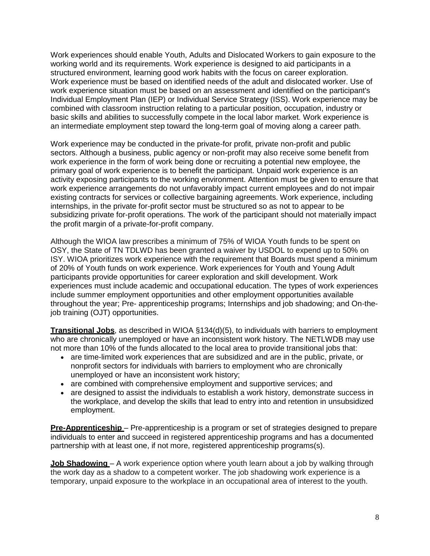Work experiences should enable Youth, Adults and Dislocated Workers to gain exposure to the working world and its requirements. Work experience is designed to aid participants in a structured environment, learning good work habits with the focus on career exploration. Work experience must be based on identified needs of the adult and dislocated worker. Use of work experience situation must be based on an assessment and identified on the participant's Individual Employment Plan (IEP) or Individual Service Strategy (ISS). Work experience may be combined with classroom instruction relating to a particular position, occupation, industry or basic skills and abilities to successfully compete in the local labor market. Work experience is an intermediate employment step toward the long-term goal of moving along a career path.

Work experience may be conducted in the private-for profit, private non-profit and public sectors. Although a business, public agency or non-profit may also receive some benefit from work experience in the form of work being done or recruiting a potential new employee, the primary goal of work experience is to benefit the participant. Unpaid work experience is an activity exposing participants to the working environment. Attention must be given to ensure that work experience arrangements do not unfavorably impact current employees and do not impair existing contracts for services or collective bargaining agreements. Work experience, including internships, in the private for-profit sector must be structured so as not to appear to be subsidizing private for-profit operations. The work of the participant should not materially impact the profit margin of a private-for-profit company.

Although the WIOA law prescribes a minimum of 75% of WIOA Youth funds to be spent on OSY, the State of TN TDLWD has been granted a waiver by USDOL to expend up to 50% on ISY. WIOA prioritizes work experience with the requirement that Boards must spend a minimum of 20% of Youth funds on work experience. Work experiences for Youth and Young Adult participants provide opportunities for career exploration and skill development. Work experiences must include academic and occupational education. The types of work experiences include summer employment opportunities and other employment opportunities available throughout the year; Pre- apprenticeship programs; Internships and job shadowing; and On-thejob training (OJT) opportunities.

**Transitional Jobs**, as described in WIOA §134(d)(5), to individuals with barriers to employment who are chronically unemployed or have an inconsistent work history. The NETLWDB may use not more than 10% of the funds allocated to the local area to provide transitional jobs that:

- are time-limited work experiences that are subsidized and are in the public, private, or nonprofit sectors for individuals with barriers to employment who are chronically unemployed or have an inconsistent work history;
- are combined with comprehensive employment and supportive services; and
- are designed to assist the individuals to establish a work history, demonstrate success in the workplace, and develop the skills that lead to entry into and retention in unsubsidized employment.

**Pre-Apprenticeship** – Pre-apprenticeship is a program or set of strategies designed to prepare individuals to enter and succeed in registered apprenticeship programs and has a documented partnership with at least one, if not more, registered apprenticeship programs(s).

**Job Shadowing** – A work experience option where youth learn about a job by walking through the work day as a shadow to a competent worker. The job shadowing work experience is a temporary, unpaid exposure to the workplace in an occupational area of interest to the youth.